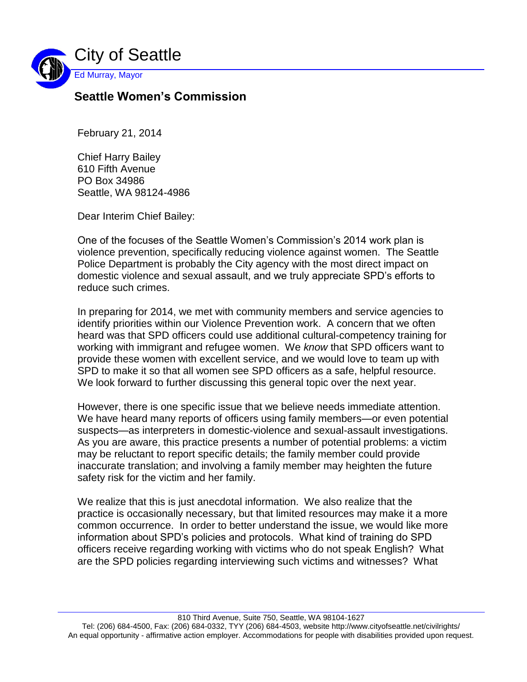

## **Seattle Women's Commission**

February 21, 2014

Chief Harry Bailey 610 Fifth Avenue PO Box 34986 Seattle, WA 98124-4986

Dear Interim Chief Bailey:

One of the focuses of the Seattle Women's Commission's 2014 work plan is violence prevention, specifically reducing violence against women. The Seattle Police Department is probably the City agency with the most direct impact on domestic violence and sexual assault, and we truly appreciate SPD's efforts to reduce such crimes.

In preparing for 2014, we met with community members and service agencies to identify priorities within our Violence Prevention work. A concern that we often heard was that SPD officers could use additional cultural-competency training for working with immigrant and refugee women. We *know* that SPD officers want to provide these women with excellent service, and we would love to team up with SPD to make it so that all women see SPD officers as a safe, helpful resource. We look forward to further discussing this general topic over the next year.

However, there is one specific issue that we believe needs immediate attention. We have heard many reports of officers using family members—or even potential suspects—as interpreters in domestic-violence and sexual-assault investigations. As you are aware, this practice presents a number of potential problems: a victim may be reluctant to report specific details; the family member could provide inaccurate translation; and involving a family member may heighten the future safety risk for the victim and her family.

We realize that this is just anecdotal information. We also realize that the practice is occasionally necessary, but that limited resources may make it a more common occurrence. In order to better understand the issue, we would like more information about SPD's policies and protocols. What kind of training do SPD officers receive regarding working with victims who do not speak English? What are the SPD policies regarding interviewing such victims and witnesses? What

810 Third Avenue, Suite 750, Seattle, WA 98104-1627

Tel: (206) 684-4500, Fax: (206) 684-0332, TYY (206) 684-4503, website http://www.cityofseattle.net/civilrights/ An equal opportunity - affirmative action employer. Accommodations for people with disabilities provided upon request.